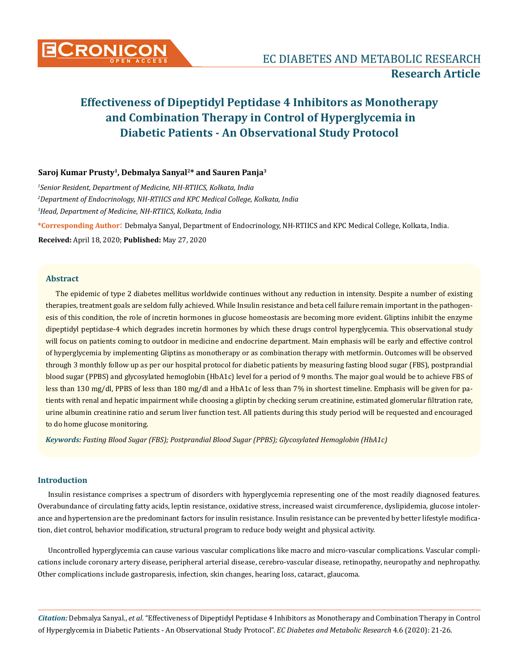

# **Saroj Kumar Prusty1, Debmalya Sanyal2\* and Sauren Panja3**

*1 Senior Resident, Department of Medicine, NH-RTIICS, Kolkata, India 2 Department of Endocrinology, NH-RTIICS and KPC Medical College, Kolkata, India 3 Head, Department of Medicine, NH-RTIICS, Kolkata, India*

**\*Corresponding Author**: Debmalya Sanyal, Department of Endocrinology, NH-RTIICS and KPC Medical College, Kolkata, India.

**Received:** April 18, 2020; **Published:** May 27, 2020

# **Abstract**

The epidemic of type 2 diabetes mellitus worldwide continues without any reduction in intensity. Despite a number of existing therapies, treatment goals are seldom fully achieved. While Insulin resistance and beta cell failure remain important in the pathogenesis of this condition, the role of incretin hormones in glucose homeostasis are becoming more evident. Gliptins inhibit the enzyme dipeptidyl peptidase-4 which degrades incretin hormones by which these drugs control hyperglycemia. This observational study will focus on patients coming to outdoor in medicine and endocrine department. Main emphasis will be early and effective control of hyperglycemia by implementing Gliptins as monotherapy or as combination therapy with metformin. Outcomes will be observed through 3 monthly follow up as per our hospital protocol for diabetic patients by measuring fasting blood sugar (FBS), postprandial blood sugar (PPBS) and glycosylated hemoglobin (HbA1c) level for a period of 9 months. The major goal would be to achieve FBS of less than 130 mg/dl, PPBS of less than 180 mg/dl and a HbA1c of less than 7% in shortest timeline. Emphasis will be given for patients with renal and hepatic impairment while choosing a gliptin by checking serum creatinine, estimated glomerular filtration rate, urine albumin creatinine ratio and serum liver function test. All patients during this study period will be requested and encouraged to do home glucose monitoring.

*Keywords: Fasting Blood Sugar (FBS); Postprandial Blood Sugar (PPBS); Glycosylated Hemoglobin (HbA1c)*

# **Introduction**

Insulin resistance comprises a spectrum of disorders with hyperglycemia representing one of the most readily diagnosed features. Overabundance of circulating fatty acids, leptin resistance, oxidative stress, increased waist circumference, dyslipidemia, glucose intolerance and hypertension are the predominant factors for insulin resistance. Insulin resistance can be prevented by better lifestyle modification, diet control, behavior modification, structural program to reduce body weight and physical activity.

Uncontrolled hyperglycemia can cause various vascular complications like macro and micro-vascular complications. Vascular complications include coronary artery disease, peripheral arterial disease, cerebro-vascular disease, retinopathy, neuropathy and nephropathy. Other complications include gastroparesis, infection, skin changes, hearing loss, cataract, glaucoma.

*Citation:* Debmalya Sanyal., *et al*. "Effectiveness of Dipeptidyl Peptidase 4 Inhibitors as Monotherapy and Combination Therapy in Control of Hyperglycemia in Diabetic Patients - An Observational Study Protocol". *EC Diabetes and Metabolic Research* 4.6 (2020): 21-26.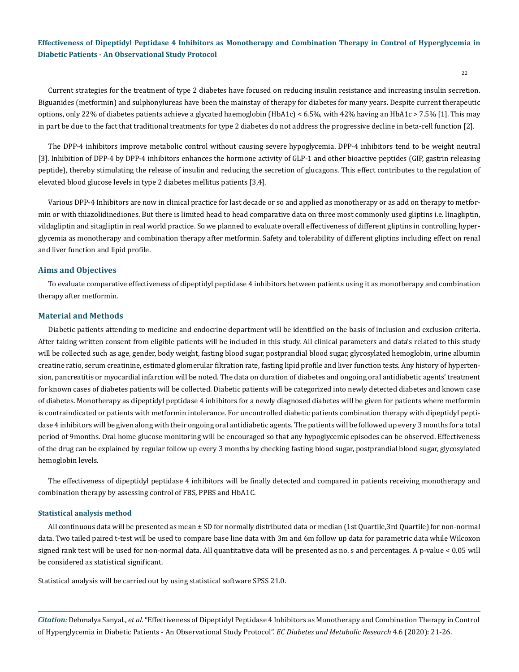Current strategies for the treatment of type 2 diabetes have focused on reducing insulin resistance and increasing insulin secretion. Biguanides (metformin) and sulphonylureas have been the mainstay of therapy for diabetes for many years. Despite current therapeutic options, only 22% of diabetes patients achieve a glycated haemoglobin (HbA1c) < 6.5%, with 42% having an HbA1c > 7.5% [1]. This may in part be due to the fact that traditional treatments for type 2 diabetes do not address the progressive decline in beta-cell function [2].

The DPP-4 inhibitors improve metabolic control without causing severe hypoglycemia. DPP-4 inhibitors tend to be weight neutral [3]. Inhibition of DPP-4 by DPP-4 inhibitors enhances the hormone activity of GLP-1 and other bioactive peptides (GIP, gastrin releasing peptide), thereby stimulating the release of insulin and reducing the secretion of glucagons. This effect contributes to the regulation of elevated blood glucose levels in type 2 diabetes mellitus patients [3,4].

Various DPP-4 Inhibitors are now in clinical practice for last decade or so and applied as monotherapy or as add on therapy to metformin or with thiazolidinediones. But there is limited head to head comparative data on three most commonly used gliptins i.e. linagliptin, vildagliptin and sitagliptin in real world practice. So we planned to evaluate overall effectiveness of different gliptins in controlling hyperglycemia as monotherapy and combination therapy after metformin. Safety and tolerability of different gliptins including effect on renal and liver function and lipid profile.

## **Aims and Objectives**

To evaluate comparative effectiveness of dipeptidyl peptidase 4 inhibitors between patients using it as monotherapy and combination therapy after metformin.

#### **Material and Methods**

Diabetic patients attending to medicine and endocrine department will be identified on the basis of inclusion and exclusion criteria. After taking written consent from eligible patients will be included in this study. All clinical parameters and data's related to this study will be collected such as age, gender, body weight, fasting blood sugar, postprandial blood sugar, glycosylated hemoglobin, urine albumin creatine ratio, serum creatinine, estimated glomerular filtration rate, fasting lipid profile and liver function tests. Any history of hypertension, pancreatitis or myocardial infarction will be noted. The data on duration of diabetes and ongoing oral antidiabetic agents' treatment for known cases of diabetes patients will be collected. Diabetic patients will be categorized into newly detected diabetes and known case of diabetes. Monotherapy as dipeptidyl peptidase 4 inhibitors for a newly diagnosed diabetes will be given for patients where metformin is contraindicated or patients with metformin intolerance. For uncontrolled diabetic patients combination therapy with dipeptidyl peptidase 4 inhibitors will be given along with their ongoing oral antidiabetic agents. The patients will be followed up every 3 months for a total period of 9months. Oral home glucose monitoring will be encouraged so that any hypoglycemic episodes can be observed. Effectiveness of the drug can be explained by regular follow up every 3 months by checking fasting blood sugar, postprandial blood sugar, glycosylated hemoglobin levels.

The effectiveness of dipeptidyl peptidase 4 inhibitors will be finally detected and compared in patients receiving monotherapy and combination therapy by assessing control of FBS, PPBS and HbA1C.

## **Statistical analysis method**

All continuous data will be presented as mean ± SD for normally distributed data or median (1st Quartile,3rd Quartile) for non-normal data. Two tailed paired t-test will be used to compare base line data with 3m and 6m follow up data for parametric data while Wilcoxon signed rank test will be used for non-normal data. All quantitative data will be presented as no. s and percentages. A p-value < 0.05 will be considered as statistical significant.

Statistical analysis will be carried out by using statistical software SPSS 21.0.

*Citation:* Debmalya Sanyal., *et al*. "Effectiveness of Dipeptidyl Peptidase 4 Inhibitors as Monotherapy and Combination Therapy in Control of Hyperglycemia in Diabetic Patients - An Observational Study Protocol". *EC Diabetes and Metabolic Research* 4.6 (2020): 21-26.

22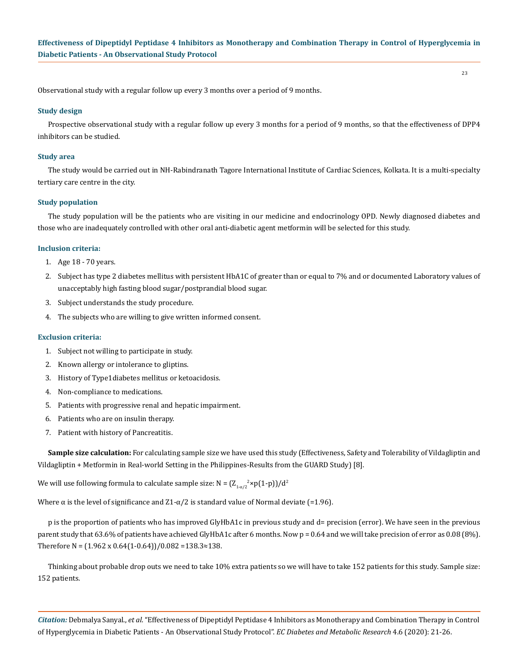23

Observational study with a regular follow up every 3 months over a period of 9 months.

# **Study design**

Prospective observational study with a regular follow up every 3 months for a period of 9 months, so that the effectiveness of DPP4 inhibitors can be studied.

#### **Study area**

The study would be carried out in NH-Rabindranath Tagore International Institute of Cardiac Sciences, Kolkata. It is a multi-specialty tertiary care centre in the city.

## **Study population**

The study population will be the patients who are visiting in our medicine and endocrinology OPD. Newly diagnosed diabetes and those who are inadequately controlled with other oral anti-diabetic agent metformin will be selected for this study.

#### **Inclusion criteria:**

- 1. Age 18 70 years.
- 2. Subject has type 2 diabetes mellitus with persistent HbA1C of greater than or equal to 7% and or documented Laboratory values of unacceptably high fasting blood sugar/postprandial blood sugar.
- 3. Subject understands the study procedure.
- 4. The subjects who are willing to give written informed consent.

#### **Exclusion criteria:**

- 1. Subject not willing to participate in study.
- 2. Known allergy or intolerance to gliptins.
- 3. History of Type1diabetes mellitus or ketoacidosis.
- 4. Non-compliance to medications.
- 5. Patients with progressive renal and hepatic impairment.
- 6. Patients who are on insulin therapy.
- 7. Patient with history of Pancreatitis.

**Sample size calculation:** For calculating sample size we have used this study (Effectiveness, Safety and Tolerability of Vildagliptin and Vildagliptin + Metformin in Real-world Setting in the Philippines-Results from the GUARD Study) [8].

We will use following formula to calculate sample size:  $N = (Z_{1 \cdot \alpha/2} \times p(1-p))/d^2$ 

Where  $\alpha$  is the level of significance and Z1- $\alpha/2$  is standard value of Normal deviate (=1.96).

p is the proportion of patients who has improved GlyHbA1c in previous study and d= precision (error). We have seen in the previous parent study that 63.6% of patients have achieved GlyHbA1c after 6 months. Now p = 0.64 and we will take precision of error as 0.08 (8%). Therefore N =  $(1.962 \times 0.64(1-0.64))/0.082 = 138.3 \times 138$ .

Thinking about probable drop outs we need to take 10% extra patients so we will have to take 152 patients for this study. Sample size: 152 patients.

*Citation:* Debmalya Sanyal., *et al*. "Effectiveness of Dipeptidyl Peptidase 4 Inhibitors as Monotherapy and Combination Therapy in Control of Hyperglycemia in Diabetic Patients - An Observational Study Protocol". *EC Diabetes and Metabolic Research* 4.6 (2020): 21-26.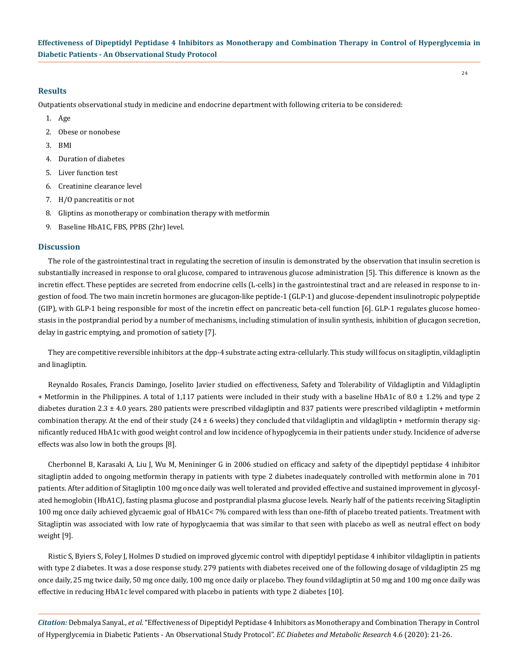## **Results**

Outpatients observational study in medicine and endocrine department with following criteria to be considered:

- 1. Age
- 2. Obese or nonobese
- 3. BMI
- 4. Duration of diabetes
- 5. Liver function test
- 6. Creatinine clearance level
- 7. H/O pancreatitis or not
- 8. Gliptins as monotherapy or combination therapy with metformin
- 9. Baseline HbA1C, FBS, PPBS (2hr) level.

## **Discussion**

The role of the gastrointestinal tract in regulating the secretion of insulin is demonstrated by the observation that insulin secretion is substantially increased in response to oral glucose, compared to intravenous glucose administration [5]. This difference is known as the incretin effect. These peptides are secreted from endocrine cells (L-cells) in the gastrointestinal tract and are released in response to ingestion of food. The two main incretin hormones are glucagon-like peptide-1 (GLP-1) and glucose-dependent insulinotropic polypeptide (GIP), with GLP-1 being responsible for most of the incretin effect on pancreatic beta-cell function [6]. GLP-1 regulates glucose homeostasis in the postprandial period by a number of mechanisms, including stimulation of insulin synthesis, inhibition of glucagon secretion, delay in gastric emptying, and promotion of satiety [7].

They are competitive reversible inhibitors at the dpp-4 substrate acting extra-cellularly. This study will focus on sitagliptin, vildagliptin and linagliptin.

Reynaldo Rosales, Francis Damingo, Joselito Javier studied on effectiveness, Safety and Tolerability of Vildagliptin and Vildagliptin + Metformin in the Philippines. A total of 1,117 patients were included in their study with a baseline HbA1c of 8.0 ± 1.2% and type 2 diabetes duration 2.3  $\pm$  4.0 years. 280 patients were prescribed vildagliptin and 837 patients were prescribed vildagliptin + metformin combination therapy. At the end of their study  $(24 \pm 6$  weeks) they concluded that vildagliptin and vildagliptin + metformin therapy significantly reduced HbA1c with good weight control and low incidence of hypoglycemia in their patients under study. Incidence of adverse effects was also low in both the groups [8].

Cherbonnel B, Karasaki A, Liu J, Wu M, Menininger G in 2006 studied on efficacy and safety of the dipeptidyl peptidase 4 inhibitor sitagliptin added to ongoing metformin therapy in patients with type 2 diabetes inadequately controlled with metformin alone in 701 patients. After addition of Sitagliptin 100 mg once daily was well tolerated and provided effective and sustained improvement in glycosylated hemoglobin (HbA1C), fasting plasma glucose and postprandial plasma glucose levels. Nearly half of the patients receiving Sitagliptin 100 mg once daily achieved glycaemic goal of HbA1C< 7% compared with less than one-fifth of placebo treated patients. Treatment with Sitagliptin was associated with low rate of hypoglycaemia that was similar to that seen with placebo as well as neutral effect on body weight [9].

Ristic S, Byiers S, Foley J, Holmes D studied on improved glycemic control with dipeptidyl peptidase 4 inhibitor vildagliptin in patients with type 2 diabetes. It was a dose response study. 279 patients with diabetes received one of the following dosage of vildagliptin 25 mg once daily, 25 mg twice daily, 50 mg once daily, 100 mg once daily or placebo. They found vildagliptin at 50 mg and 100 mg once daily was effective in reducing HbA1c level compared with placebo in patients with type 2 diabetes [10].

*Citation:* Debmalya Sanyal., *et al*. "Effectiveness of Dipeptidyl Peptidase 4 Inhibitors as Monotherapy and Combination Therapy in Control of Hyperglycemia in Diabetic Patients - An Observational Study Protocol". *EC Diabetes and Metabolic Research* 4.6 (2020): 21-26.

24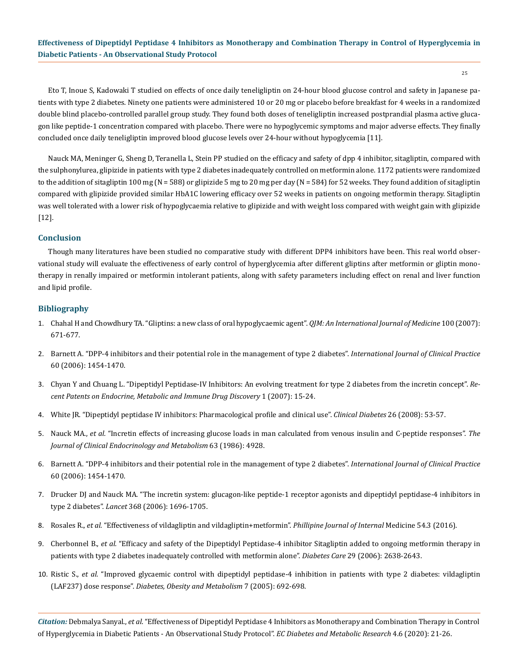Eto T, Inoue S, Kadowaki T studied on effects of once daily teneligliptin on 24-hour blood glucose control and safety in Japanese patients with type 2 diabetes. Ninety one patients were administered 10 or 20 mg or placebo before breakfast for 4 weeks in a randomized double blind placebo-controlled parallel group study. They found both doses of teneligliptin increased postprandial plasma active glucagon like peptide-1 concentration compared with placebo. There were no hypoglycemic symptoms and major adverse effects. They finally concluded once daily teneligliptin improved blood glucose levels over 24-hour without hypoglycemia [11].

Nauck MA, Meninger G, Sheng D, Teranella L, Stein PP studied on the efficacy and safety of dpp 4 inhibitor, sitagliptin, compared with the sulphonylurea, glipizide in patients with type 2 diabetes inadequately controlled on metformin alone. 1172 patients were randomized to the addition of sitagliptin 100 mg (N = 588) or glipizide 5 mg to 20 mg per day (N = 584) for 52 weeks. They found addition of sitagliptin compared with glipizide provided similar HbA1C lowering efficacy over 52 weeks in patients on ongoing metformin therapy. Sitagliptin was well tolerated with a lower risk of hypoglycaemia relative to glipizide and with weight loss compared with weight gain with glipizide [12].

# **Conclusion**

Though many literatures have been studied no comparative study with different DPP4 inhibitors have been. This real world observational study will evaluate the effectiveness of early control of hyperglycemia after different gliptins after metformin or gliptin monotherapy in renally impaired or metformin intolerant patients, along with safety parameters including effect on renal and liver function and lipid profile.

## **Bibliography**

- 1. [Chahal H and Chowdhury TA. "Gliptins: a new class of oral hypoglycaemic agent".](https://www.ncbi.nlm.nih.gov/pmc/articles/PMC2846464/) *QJM: An International Journal of Medicine* 100 (2007): [671-677.](https://www.ncbi.nlm.nih.gov/pmc/articles/PMC2846464/)
- 2. [Barnett A. "DPP-4 inhibitors and their potential role in the management of type 2 diabetes".](https://pubmed.ncbi.nlm.nih.gov/22197148/) *International Journal of Clinical Practice*  [60 \(2006\): 1454-1470.](https://pubmed.ncbi.nlm.nih.gov/22197148/)
- 3. [Chyan Y and Chuang L. "Dipeptidyl Peptidase-IV Inhibitors: An evolving treatment for type 2 diabetes from the incretin concept".](https://www.eurekaselect.com/89845/article/dipeptidyl-peptidase-iv-inhibitors-evolving-treatment-type-2-diabetes-incretin-concept) *Re[cent Patents on Endocrine, Metabolic and Immune Drug Discovery](https://www.eurekaselect.com/89845/article/dipeptidyl-peptidase-iv-inhibitors-evolving-treatment-type-2-diabetes-incretin-concept)* 1 (2007): 15-24.
- 4. [White JR. "Dipeptidyl peptidase IV inhibitors: Pharmacological profile and clinical use".](https://clinical.diabetesjournals.org/content/26/2/53) *Clinical Diabetes* 26 (2008): 53-57.
- 5. Nauck MA., *et al.* ["Incretin effects of increasing glucose loads in man calculated from venous insulin and C-peptide responses".](https://academic.oup.com/jcem/article-abstract/63/2/492/2674669?redirectedFrom=PDF) *The [Journal of Clinical Endocrinology and Metabolism](https://academic.oup.com/jcem/article-abstract/63/2/492/2674669?redirectedFrom=PDF)* 63 (1986): 4928.
- 6. [Barnett A. "DPP-4 inhibitors and their potential role in the management of type 2 diabetes".](https://pubmed.ncbi.nlm.nih.gov/22197148/) *International Journal of Clinical Practice*  [60 \(2006\): 1454-1470.](https://pubmed.ncbi.nlm.nih.gov/22197148/)
- 7. [Drucker DJ and Nauck MA. "The incretin system: glucagon-like peptide-1 receptor agonists and dipeptidyl peptidase-4 inhibitors in](https://pubmed.ncbi.nlm.nih.gov/17098089/)  type 2 diabetes". *Lancet* [368 \(2006\): 1696-1705.](https://pubmed.ncbi.nlm.nih.gov/17098089/)
- 8. Rosales R., *et al.* "Effectiveness of vildagliptin and vildagliptin+metformin". *Phillipine Journal of Internal* Medicine 54.3 (2016).
- 9. Cherbonnel B., *et al.* ["Efficacy and safety of the Dipeptidyl Peptidase-4 inhibitor Sitagliptin added to ongoing metformin therapy in](https://pubmed.ncbi.nlm.nih.gov/17130197/)  [patients with type 2 diabetes inadequately controlled with metformin alone".](https://pubmed.ncbi.nlm.nih.gov/17130197/) *Diabetes Care* 29 (2006): 2638-2643.
- 10. Ristic S., *et al.* ["Improved glycaemic control with dipeptidyl peptidase-4 inhibition in patients with type 2 diabetes: vildagliptin](https://pubmed.ncbi.nlm.nih.gov/16219012/)  (LAF237) dose response". *[Diabetes, Obesity and Metabolism](https://pubmed.ncbi.nlm.nih.gov/16219012/)* 7 (2005): 692-698.

*Citation:* Debmalya Sanyal., *et al*. "Effectiveness of Dipeptidyl Peptidase 4 Inhibitors as Monotherapy and Combination Therapy in Control of Hyperglycemia in Diabetic Patients - An Observational Study Protocol". *EC Diabetes and Metabolic Research* 4.6 (2020): 21-26.

25